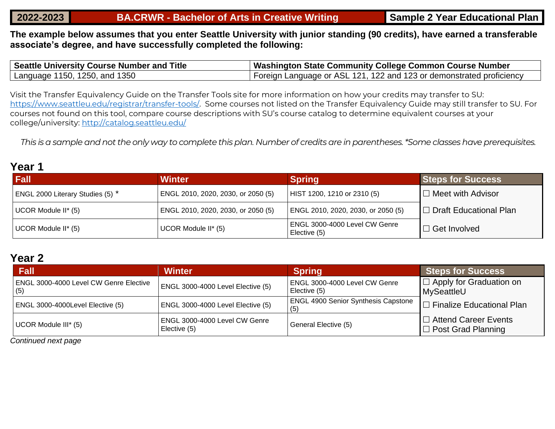#### **2022-2023 BA.CRWR - Bachelor of Arts in Creative Writing Sample 2 Year Educational Plan**

**The example below assumes that you enter Seattle University with junior standing (90 credits), have earned a transferable associate's degree, and have successfully completed the following:**

| Seattle University Course Number and Title | Washington State Community College Common Course Number              |
|--------------------------------------------|----------------------------------------------------------------------|
| Language 1150, 1250, and 1350              | Foreign Language or ASL 121, 122 and 123 or demonstrated proficiency |

Visit the Transfer Equivalency Guide on the Transfer Tools site for more information on how your credits may transfer to SU: [https://www.seattleu.edu/registrar/transfer-tools/.](https://www.seattleu.edu/registrar/transfer-tools/) Some courses not listed on the Transfer Equivalency Guide may still transfer to SU. For courses not found on this tool, compare course descriptions with SU's course catalog to determine equivalent courses at your college/university:<http://catalog.seattleu.edu/>

*This is a sample and not the only way to complete this plan. Number of credits are in parentheses. \*Some classes have prerequisites.*

## **Year 1**

| <b>Fall</b>                      | <b>Winter</b>                      | <b>Spring</b>                                 | <b>Steps for Success</b>      |
|----------------------------------|------------------------------------|-----------------------------------------------|-------------------------------|
| ENGL 2000 Literary Studies (5) * | ENGL 2010, 2020, 2030, or 2050 (5) | HIST 1200, 1210 or 2310 (5)                   | $\Box$ Meet with Advisor      |
| UCOR Module II* (5)              | ENGL 2010, 2020, 2030, or 2050 (5) | ENGL 2010, 2020, 2030, or 2050 (5)            | $\Box$ Draft Educational Plan |
| UCOR Module II* (5)              | UCOR Module II* (5)                | ENGL 3000-4000 Level CW Genre<br>Elective (5) | l ⊟ Get Involved∶             |

## **Year 2**

| <b>Fall</b>                                          | <b>Winter</b>                                 | <b>Spring</b>                                     | <b>Steps for Success</b>                                 |
|------------------------------------------------------|-----------------------------------------------|---------------------------------------------------|----------------------------------------------------------|
| <b>ENGL 3000-4000 Level CW Genre Elective</b><br>(5) | $ $ ENGL 3000-4000 Level Elective (5)         | ENGL 3000-4000 Level CW Genre<br>Elective (5)     | $\Box$ Apply for Graduation on<br>MySeattleU             |
| ENGL 3000-4000Level Elective (5)                     | ENGL 3000-4000 Level Elective (5)             | <b>ENGL 4900 Senior Synthesis Capstone</b><br>(5) | $\Box$ Finalize Educational Plan                         |
| UCOR Module III* (5)                                 | ENGL 3000-4000 Level CW Genre<br>Elective (5) | General Elective (5)                              | $\Box$ Attend Career Events<br>$\Box$ Post Grad Planning |

*Continued next page*